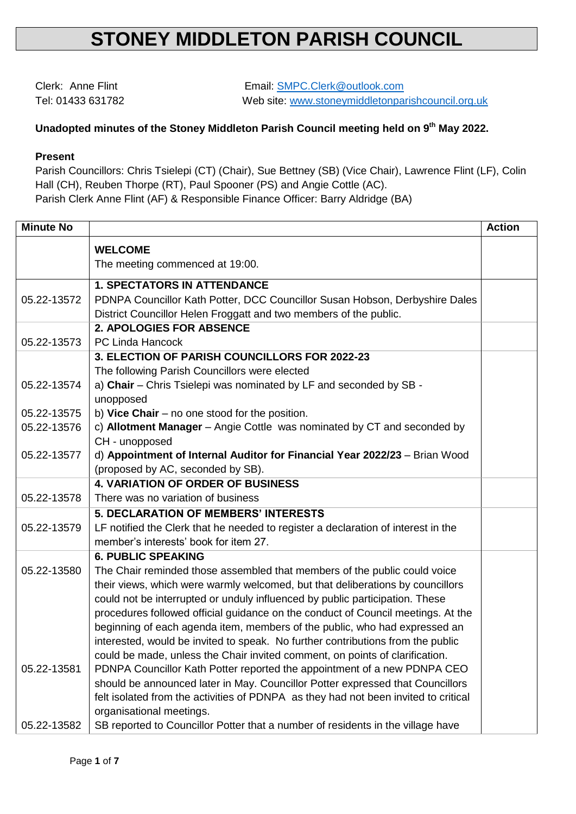## **STONEY MIDDLETON PARISH COUNCIL**

Clerk: Anne Flint Email: [SMPC.Clerk@outlook.com](mailto:SMPC.Clerk@outlook.com) Tel: 01433 631782 Web site: [www.stoneymiddletonparishcouncil.org.uk](http://www.stoneymiddletonparishcouncil.org.uk/)

## **Unadopted minutes of the Stoney Middleton Parish Council meeting held on 9 th May 2022.**

## **Present**

Parish Councillors: Chris Tsielepi (CT) (Chair), Sue Bettney (SB) (Vice Chair), Lawrence Flint (LF), Colin Hall (CH), Reuben Thorpe (RT), Paul Spooner (PS) and Angie Cottle (AC). Parish Clerk Anne Flint (AF) & Responsible Finance Officer: Barry Aldridge (BA)

| <b>Minute No</b> |                                                                                           | <b>Action</b> |  |  |
|------------------|-------------------------------------------------------------------------------------------|---------------|--|--|
|                  | <b>WELCOME</b>                                                                            |               |  |  |
|                  | The meeting commenced at 19:00.                                                           |               |  |  |
|                  | <b>1. SPECTATORS IN ATTENDANCE</b>                                                        |               |  |  |
| 05.22-13572      | PDNPA Councillor Kath Potter, DCC Councillor Susan Hobson, Derbyshire Dales               |               |  |  |
|                  | District Councillor Helen Froggatt and two members of the public.                         |               |  |  |
|                  | <b>2. APOLOGIES FOR ABSENCE</b>                                                           |               |  |  |
| 05.22-13573      | PC Linda Hancock                                                                          |               |  |  |
|                  | 3. ELECTION OF PARISH COUNCILLORS FOR 2022-23                                             |               |  |  |
|                  | The following Parish Councillors were elected                                             |               |  |  |
| 05.22-13574      | a) Chair - Chris Tsielepi was nominated by LF and seconded by SB -                        |               |  |  |
|                  | unopposed                                                                                 |               |  |  |
| 05.22-13575      | b) Vice Chair $-$ no one stood for the position.                                          |               |  |  |
| 05.22-13576      | c) Allotment Manager - Angie Cottle was nominated by CT and seconded by<br>CH - unopposed |               |  |  |
|                  | d) Appointment of Internal Auditor for Financial Year 2022/23 - Brian Wood                |               |  |  |
| 05.22-13577      | (proposed by AC, seconded by SB).                                                         |               |  |  |
|                  | <b>4. VARIATION OF ORDER OF BUSINESS</b>                                                  |               |  |  |
| 05.22-13578      | There was no variation of business                                                        |               |  |  |
|                  | <b>5. DECLARATION OF MEMBERS' INTERESTS</b>                                               |               |  |  |
| 05.22-13579      | LF notified the Clerk that he needed to register a declaration of interest in the         |               |  |  |
|                  | member's interests' book for item 27.                                                     |               |  |  |
|                  | <b>6. PUBLIC SPEAKING</b>                                                                 |               |  |  |
| 05.22-13580      | The Chair reminded those assembled that members of the public could voice                 |               |  |  |
|                  | their views, which were warmly welcomed, but that deliberations by councillors            |               |  |  |
|                  | could not be interrupted or unduly influenced by public participation. These              |               |  |  |
|                  | procedures followed official guidance on the conduct of Council meetings. At the          |               |  |  |
|                  | beginning of each agenda item, members of the public, who had expressed an                |               |  |  |
|                  | interested, would be invited to speak. No further contributions from the public           |               |  |  |
|                  | could be made, unless the Chair invited comment, on points of clarification.              |               |  |  |
| 05.22-13581      | PDNPA Councillor Kath Potter reported the appointment of a new PDNPA CEO                  |               |  |  |
|                  | should be announced later in May. Councillor Potter expressed that Councillors            |               |  |  |
|                  | felt isolated from the activities of PDNPA as they had not been invited to critical       |               |  |  |
|                  | organisational meetings.                                                                  |               |  |  |
| 05.22-13582      | SB reported to Councillor Potter that a number of residents in the village have           |               |  |  |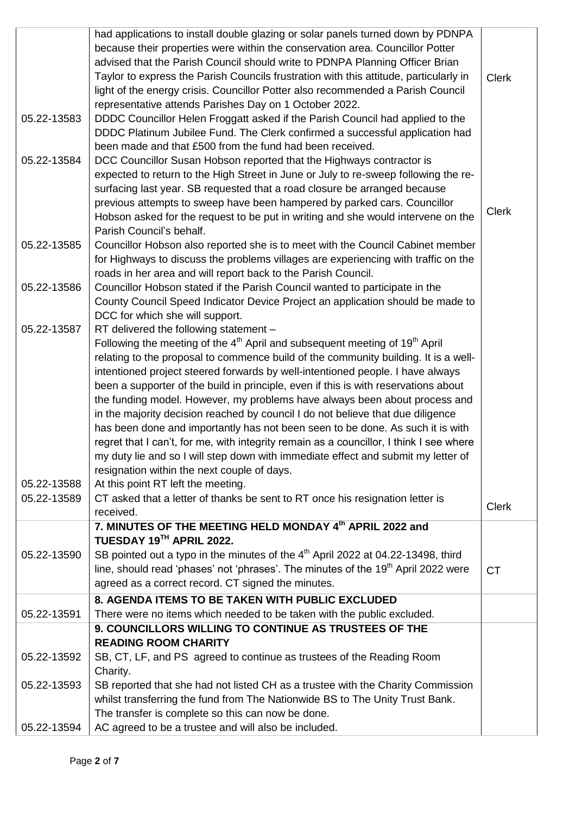|             | had applications to install double glazing or solar panels turned down by PDNPA                     |              |
|-------------|-----------------------------------------------------------------------------------------------------|--------------|
|             | because their properties were within the conservation area. Councillor Potter                       |              |
|             | advised that the Parish Council should write to PDNPA Planning Officer Brian                        |              |
|             | Taylor to express the Parish Councils frustration with this attitude, particularly in               | <b>Clerk</b> |
|             | light of the energy crisis. Councillor Potter also recommended a Parish Council                     |              |
|             | representative attends Parishes Day on 1 October 2022.                                              |              |
| 05.22-13583 | DDDC Councillor Helen Froggatt asked if the Parish Council had applied to the                       |              |
|             | DDDC Platinum Jubilee Fund. The Clerk confirmed a successful application had                        |              |
|             | been made and that £500 from the fund had been received.                                            |              |
|             |                                                                                                     |              |
| 05.22-13584 | DCC Councillor Susan Hobson reported that the Highways contractor is                                |              |
|             | expected to return to the High Street in June or July to re-sweep following the re-                 |              |
|             | surfacing last year. SB requested that a road closure be arranged because                           |              |
|             | previous attempts to sweep have been hampered by parked cars. Councillor                            | <b>Clerk</b> |
|             | Hobson asked for the request to be put in writing and she would intervene on the                    |              |
|             | Parish Council's behalf.                                                                            |              |
| 05.22-13585 | Councillor Hobson also reported she is to meet with the Council Cabinet member                      |              |
|             | for Highways to discuss the problems villages are experiencing with traffic on the                  |              |
|             | roads in her area and will report back to the Parish Council.                                       |              |
| 05.22-13586 | Councillor Hobson stated if the Parish Council wanted to participate in the                         |              |
|             | County Council Speed Indicator Device Project an application should be made to                      |              |
|             | DCC for which she will support.                                                                     |              |
| 05.22-13587 | RT delivered the following statement -                                                              |              |
|             | Following the meeting of the 4 <sup>th</sup> April and subsequent meeting of 19 <sup>th</sup> April |              |
|             | relating to the proposal to commence build of the community building. It is a well-                 |              |
|             | intentioned project steered forwards by well-intentioned people. I have always                      |              |
|             | been a supporter of the build in principle, even if this is with reservations about                 |              |
|             | the funding model. However, my problems have always been about process and                          |              |
|             | in the majority decision reached by council I do not believe that due diligence                     |              |
|             | has been done and importantly has not been seen to be done. As such it is with                      |              |
|             | regret that I can't, for me, with integrity remain as a councillor, I think I see where             |              |
|             | my duty lie and so I will step down with immediate effect and submit my letter of                   |              |
|             | resignation within the next couple of days.                                                         |              |
| 05.22-13588 | At this point RT left the meeting.                                                                  |              |
| 05.22-13589 | CT asked that a letter of thanks be sent to RT once his resignation letter is                       |              |
|             |                                                                                                     | <b>Clerk</b> |
|             | received.<br>7. MINUTES OF THE MEETING HELD MONDAY 4th APRIL 2022 and                               |              |
|             |                                                                                                     |              |
|             | TUESDAY 19TH APRIL 2022.                                                                            |              |
| 05.22-13590 | SB pointed out a typo in the minutes of the 4 <sup>th</sup> April 2022 at 04.22-13498, third        |              |
|             | line, should read 'phases' not 'phrases'. The minutes of the 19 <sup>th</sup> April 2022 were       | <b>CT</b>    |
|             | agreed as a correct record. CT signed the minutes.                                                  |              |
|             | 8. AGENDA ITEMS TO BE TAKEN WITH PUBLIC EXCLUDED                                                    |              |
| 05.22-13591 | There were no items which needed to be taken with the public excluded.                              |              |
|             | 9. COUNCILLORS WILLING TO CONTINUE AS TRUSTEES OF THE                                               |              |
|             | <b>READING ROOM CHARITY</b>                                                                         |              |
| 05.22-13592 | SB, CT, LF, and PS agreed to continue as trustees of the Reading Room                               |              |
|             | Charity.                                                                                            |              |
| 05.22-13593 | SB reported that she had not listed CH as a trustee with the Charity Commission                     |              |
|             | whilst transferring the fund from The Nationwide BS to The Unity Trust Bank.                        |              |
|             | The transfer is complete so this can now be done.                                                   |              |
| 05.22-13594 | AC agreed to be a trustee and will also be included.                                                |              |
|             |                                                                                                     |              |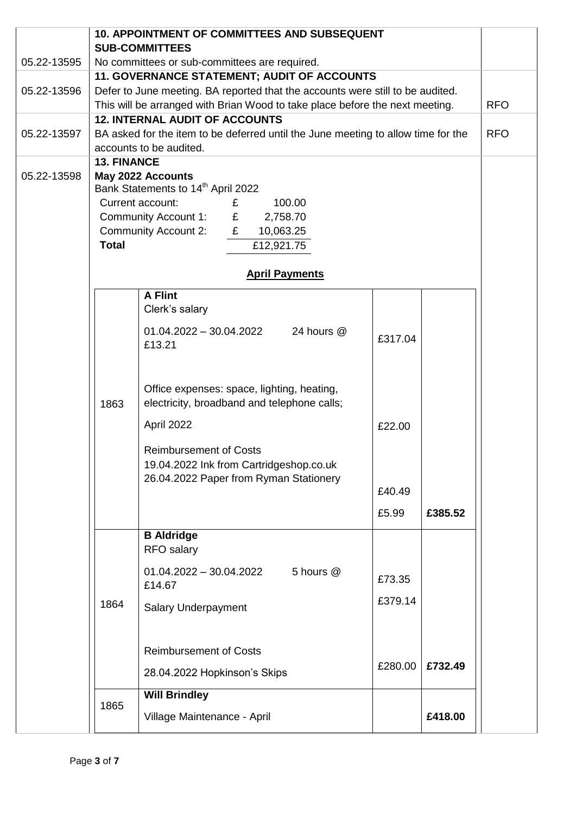|                                                                              |                                                                                              | <b>10. APPOINTMENT OF COMMITTEES AND SUBSEQUENT</b>                               |         |         |            |
|------------------------------------------------------------------------------|----------------------------------------------------------------------------------------------|-----------------------------------------------------------------------------------|---------|---------|------------|
| 05.22-13595                                                                  | <b>SUB-COMMITTEES</b>                                                                        |                                                                                   |         |         |            |
|                                                                              | No committees or sub-committees are required.<br>11. GOVERNANCE STATEMENT; AUDIT OF ACCOUNTS |                                                                                   |         |         |            |
| 05.22-13596                                                                  |                                                                                              | Defer to June meeting. BA reported that the accounts were still to be audited.    |         |         |            |
| This will be arranged with Brian Wood to take place before the next meeting. |                                                                                              |                                                                                   |         |         | <b>RFO</b> |
|                                                                              | <b>12. INTERNAL AUDIT OF ACCOUNTS</b>                                                        |                                                                                   |         |         |            |
| 05.22-13597                                                                  | BA asked for the item to be deferred until the June meeting to allow time for the            |                                                                                   |         |         | <b>RFO</b> |
|                                                                              |                                                                                              | accounts to be audited.                                                           |         |         |            |
|                                                                              | <b>13. FINANCE</b>                                                                           |                                                                                   |         |         |            |
| 05.22-13598                                                                  |                                                                                              | May 2022 Accounts                                                                 |         |         |            |
|                                                                              |                                                                                              | Bank Statements to 14 <sup>th</sup> April 2022<br>Current account:<br>£<br>100.00 |         |         |            |
|                                                                              |                                                                                              | Community Account 1:<br>E<br>2,758.70                                             |         |         |            |
|                                                                              |                                                                                              | <b>Community Account 2:</b><br>E<br>10,063.25                                     |         |         |            |
|                                                                              | <b>Total</b>                                                                                 | £12,921.75                                                                        |         |         |            |
|                                                                              |                                                                                              |                                                                                   |         |         |            |
|                                                                              |                                                                                              | <b>April Payments</b>                                                             |         |         |            |
|                                                                              |                                                                                              | <b>A Flint</b>                                                                    |         |         |            |
|                                                                              |                                                                                              | Clerk's salary                                                                    |         |         |            |
|                                                                              |                                                                                              | $01.04.2022 - 30.04.2022$<br>24 hours @                                           |         |         |            |
|                                                                              |                                                                                              | £13.21                                                                            | £317.04 |         |            |
|                                                                              |                                                                                              |                                                                                   |         |         |            |
|                                                                              |                                                                                              |                                                                                   |         |         |            |
|                                                                              |                                                                                              | Office expenses: space, lighting, heating,                                        |         |         |            |
|                                                                              | 1863                                                                                         | electricity, broadband and telephone calls;                                       |         |         |            |
|                                                                              |                                                                                              | April 2022                                                                        | £22.00  |         |            |
|                                                                              |                                                                                              |                                                                                   |         |         |            |
|                                                                              |                                                                                              | <b>Reimbursement of Costs</b><br>19.04.2022 Ink from Cartridgeshop.co.uk          |         |         |            |
|                                                                              |                                                                                              | 26.04.2022 Paper from Ryman Stationery                                            |         |         |            |
|                                                                              |                                                                                              |                                                                                   | £40.49  |         |            |
|                                                                              |                                                                                              |                                                                                   | £5.99   | £385.52 |            |
|                                                                              |                                                                                              |                                                                                   |         |         |            |
|                                                                              |                                                                                              | <b>B</b> Aldridge                                                                 |         |         |            |
|                                                                              |                                                                                              | <b>RFO</b> salary                                                                 |         |         |            |
|                                                                              |                                                                                              | $01.04.2022 - 30.04.2022$<br>5 hours @                                            | £73.35  |         |            |
|                                                                              |                                                                                              | £14.67                                                                            |         |         |            |
|                                                                              | 1864                                                                                         | <b>Salary Underpayment</b>                                                        | £379.14 |         |            |
|                                                                              |                                                                                              |                                                                                   |         |         |            |
|                                                                              |                                                                                              |                                                                                   |         |         |            |
|                                                                              |                                                                                              | <b>Reimbursement of Costs</b>                                                     |         |         |            |
|                                                                              |                                                                                              | 28.04.2022 Hopkinson's Skips                                                      | £280.00 | £732.49 |            |
|                                                                              |                                                                                              |                                                                                   |         |         |            |
|                                                                              | 1865                                                                                         | <b>Will Brindley</b>                                                              |         |         |            |
|                                                                              |                                                                                              | Village Maintenance - April                                                       |         | £418.00 |            |
|                                                                              |                                                                                              |                                                                                   |         |         |            |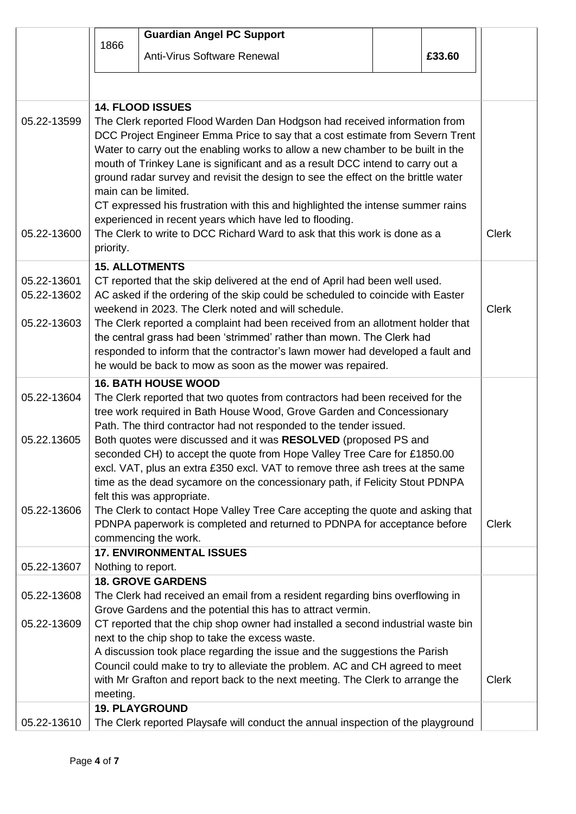|                                           |                                                                                                                                                                                                                                                                                                                                                                                                                                                                                                                                                                                                                                                                                                                 | <b>Guardian Angel PC Support</b>                                                                                                                                                                                                                                                                                                                                                                                                                                                                                                                                                                                                                                                           |  |              |              |
|-------------------------------------------|-----------------------------------------------------------------------------------------------------------------------------------------------------------------------------------------------------------------------------------------------------------------------------------------------------------------------------------------------------------------------------------------------------------------------------------------------------------------------------------------------------------------------------------------------------------------------------------------------------------------------------------------------------------------------------------------------------------------|--------------------------------------------------------------------------------------------------------------------------------------------------------------------------------------------------------------------------------------------------------------------------------------------------------------------------------------------------------------------------------------------------------------------------------------------------------------------------------------------------------------------------------------------------------------------------------------------------------------------------------------------------------------------------------------------|--|--------------|--------------|
|                                           | 1866                                                                                                                                                                                                                                                                                                                                                                                                                                                                                                                                                                                                                                                                                                            | Anti-Virus Software Renewal                                                                                                                                                                                                                                                                                                                                                                                                                                                                                                                                                                                                                                                                |  | £33.60       |              |
|                                           |                                                                                                                                                                                                                                                                                                                                                                                                                                                                                                                                                                                                                                                                                                                 |                                                                                                                                                                                                                                                                                                                                                                                                                                                                                                                                                                                                                                                                                            |  |              |              |
| 05.22-13599<br>05.22-13600                | <b>14. FLOOD ISSUES</b><br>The Clerk reported Flood Warden Dan Hodgson had received information from<br>DCC Project Engineer Emma Price to say that a cost estimate from Severn Trent<br>Water to carry out the enabling works to allow a new chamber to be built in the<br>mouth of Trinkey Lane is significant and as a result DCC intend to carry out a<br>ground radar survey and revisit the design to see the effect on the brittle water<br>main can be limited.<br>CT expressed his frustration with this and highlighted the intense summer rains<br>experienced in recent years which have led to flooding.<br>The Clerk to write to DCC Richard Ward to ask that this work is done as a<br>priority. |                                                                                                                                                                                                                                                                                                                                                                                                                                                                                                                                                                                                                                                                                            |  |              | <b>Clerk</b> |
| 05.22-13601<br>05.22-13602<br>05.22-13603 | <b>15. ALLOTMENTS</b><br>CT reported that the skip delivered at the end of April had been well used.<br>AC asked if the ordering of the skip could be scheduled to coincide with Easter<br>weekend in 2023. The Clerk noted and will schedule.<br>The Clerk reported a complaint had been received from an allotment holder that<br>the central grass had been 'strimmed' rather than mown. The Clerk had<br>responded to inform that the contractor's lawn mower had developed a fault and<br>he would be back to mow as soon as the mower was repaired.                                                                                                                                                       |                                                                                                                                                                                                                                                                                                                                                                                                                                                                                                                                                                                                                                                                                            |  | <b>Clerk</b> |              |
| 05.22-13604<br>05.22.13605<br>05.22-13606 |                                                                                                                                                                                                                                                                                                                                                                                                                                                                                                                                                                                                                                                                                                                 | <b>16. BATH HOUSE WOOD</b><br>The Clerk reported that two quotes from contractors had been received for the<br>tree work required in Bath House Wood, Grove Garden and Concessionary<br>Path. The third contractor had not responded to the tender issued.<br>Both quotes were discussed and it was RESOLVED (proposed PS and<br>seconded CH) to accept the quote from Hope Valley Tree Care for £1850.00<br>excl. VAT, plus an extra £350 excl. VAT to remove three ash trees at the same<br>time as the dead sycamore on the concessionary path, if Felicity Stout PDNPA<br>felt this was appropriate.<br>The Clerk to contact Hope Valley Tree Care accepting the quote and asking that |  |              |              |
|                                           |                                                                                                                                                                                                                                                                                                                                                                                                                                                                                                                                                                                                                                                                                                                 | PDNPA paperwork is completed and returned to PDNPA for acceptance before<br>commencing the work.<br><b>17. ENVIRONMENTAL ISSUES</b>                                                                                                                                                                                                                                                                                                                                                                                                                                                                                                                                                        |  |              | <b>Clerk</b> |
| 05.22-13607                               | Nothing to report.                                                                                                                                                                                                                                                                                                                                                                                                                                                                                                                                                                                                                                                                                              |                                                                                                                                                                                                                                                                                                                                                                                                                                                                                                                                                                                                                                                                                            |  |              |              |
| 05.22-13608                               |                                                                                                                                                                                                                                                                                                                                                                                                                                                                                                                                                                                                                                                                                                                 | <b>18. GROVE GARDENS</b><br>The Clerk had received an email from a resident regarding bins overflowing in<br>Grove Gardens and the potential this has to attract vermin.                                                                                                                                                                                                                                                                                                                                                                                                                                                                                                                   |  |              |              |
| 05.22-13609                               | CT reported that the chip shop owner had installed a second industrial waste bin<br>next to the chip shop to take the excess waste.<br>A discussion took place regarding the issue and the suggestions the Parish<br>Council could make to try to alleviate the problem. AC and CH agreed to meet<br>with Mr Grafton and report back to the next meeting. The Clerk to arrange the<br>meeting.                                                                                                                                                                                                                                                                                                                  |                                                                                                                                                                                                                                                                                                                                                                                                                                                                                                                                                                                                                                                                                            |  | <b>Clerk</b> |              |
| 05.22-13610                               |                                                                                                                                                                                                                                                                                                                                                                                                                                                                                                                                                                                                                                                                                                                 | <b>19. PLAYGROUND</b><br>The Clerk reported Playsafe will conduct the annual inspection of the playground                                                                                                                                                                                                                                                                                                                                                                                                                                                                                                                                                                                  |  |              |              |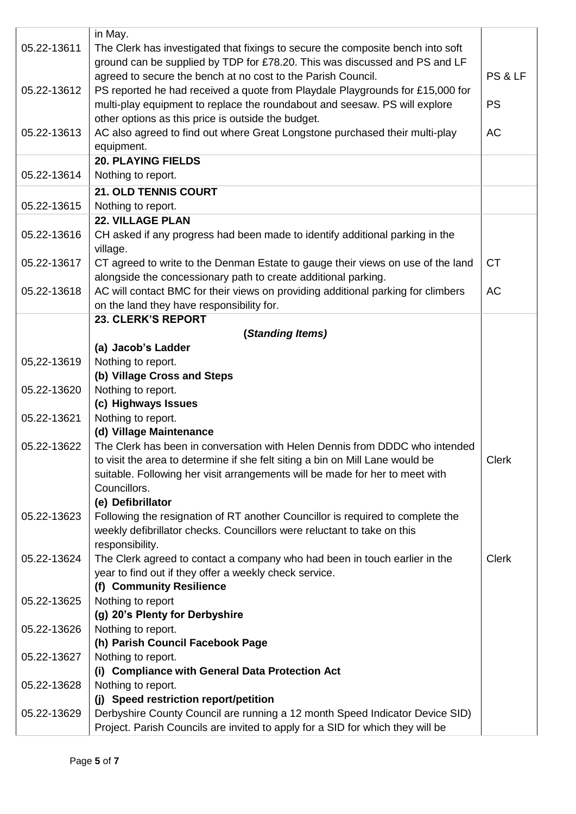|             | in May.                                                                          |              |  |
|-------------|----------------------------------------------------------------------------------|--------------|--|
| 05.22-13611 | The Clerk has investigated that fixings to secure the composite bench into soft  |              |  |
|             | ground can be supplied by TDP for £78.20. This was discussed and PS and LF       |              |  |
|             | agreed to secure the bench at no cost to the Parish Council.                     | PS & LF      |  |
| 05.22-13612 | PS reported he had received a quote from Playdale Playgrounds for £15,000 for    |              |  |
|             | multi-play equipment to replace the roundabout and seesaw. PS will explore       | <b>PS</b>    |  |
|             | other options as this price is outside the budget.                               |              |  |
| 05.22-13613 | AC also agreed to find out where Great Longstone purchased their multi-play      | AC           |  |
|             | equipment.                                                                       |              |  |
|             | <b>20. PLAYING FIELDS</b>                                                        |              |  |
| 05.22-13614 | Nothing to report.                                                               |              |  |
|             | 21. OLD TENNIS COURT                                                             |              |  |
| 05.22-13615 | Nothing to report.                                                               |              |  |
|             | <b>22. VILLAGE PLAN</b>                                                          |              |  |
| 05.22-13616 | CH asked if any progress had been made to identify additional parking in the     |              |  |
|             | village.                                                                         |              |  |
| 05.22-13617 | CT agreed to write to the Denman Estate to gauge their views on use of the land  | <b>CT</b>    |  |
|             | alongside the concessionary path to create additional parking.                   |              |  |
| 05.22-13618 | AC will contact BMC for their views on providing additional parking for climbers | <b>AC</b>    |  |
|             | on the land they have responsibility for.                                        |              |  |
|             | 23. CLERK'S REPORT                                                               |              |  |
|             | (Standing Items)                                                                 |              |  |
|             | (a) Jacob's Ladder                                                               |              |  |
| 05,22-13619 | Nothing to report.                                                               |              |  |
|             | (b) Village Cross and Steps                                                      |              |  |
| 05.22-13620 | Nothing to report.                                                               |              |  |
|             | (c) Highways Issues                                                              |              |  |
| 05.22-13621 | Nothing to report.                                                               |              |  |
|             | (d) Village Maintenance                                                          |              |  |
| 05.22-13622 | The Clerk has been in conversation with Helen Dennis from DDDC who intended      |              |  |
|             | to visit the area to determine if she felt siting a bin on Mill Lane would be    | Clerk        |  |
|             | suitable. Following her visit arrangements will be made for her to meet with     |              |  |
|             | Councillors.                                                                     |              |  |
|             | (e) Defibrillator                                                                |              |  |
| 05.22-13623 | Following the resignation of RT another Councillor is required to complete the   |              |  |
|             | weekly defibrillator checks. Councillors were reluctant to take on this          |              |  |
|             | responsibility.                                                                  |              |  |
| 05.22-13624 | The Clerk agreed to contact a company who had been in touch earlier in the       | <b>Clerk</b> |  |
|             | year to find out if they offer a weekly check service.                           |              |  |
|             | (f) Community Resilience                                                         |              |  |
| 05.22-13625 | Nothing to report                                                                |              |  |
|             | (g) 20's Plenty for Derbyshire                                                   |              |  |
| 05.22-13626 | Nothing to report.                                                               |              |  |
|             | (h) Parish Council Facebook Page                                                 |              |  |
| 05.22-13627 | Nothing to report.                                                               |              |  |
|             | (i) Compliance with General Data Protection Act                                  |              |  |
| 05.22-13628 | Nothing to report.                                                               |              |  |
|             | (j) Speed restriction report/petition                                            |              |  |
| 05.22-13629 | Derbyshire County Council are running a 12 month Speed Indicator Device SID)     |              |  |
|             | Project. Parish Councils are invited to apply for a SID for which they will be   |              |  |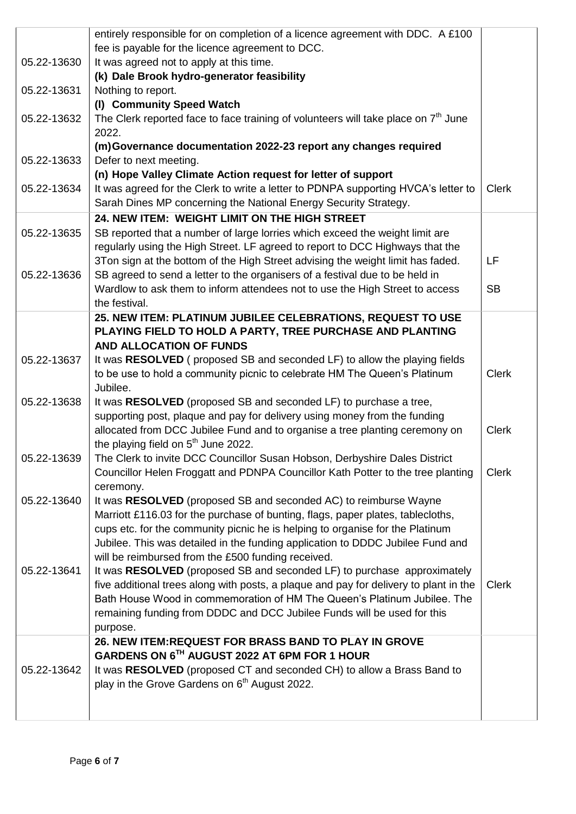|             | entirely responsible for on completion of a licence agreement with DDC. A £100        |              |
|-------------|---------------------------------------------------------------------------------------|--------------|
|             | fee is payable for the licence agreement to DCC.                                      |              |
| 05.22-13630 | It was agreed not to apply at this time.                                              |              |
|             | (k) Dale Brook hydro-generator feasibility                                            |              |
| 05.22-13631 | Nothing to report.                                                                    |              |
|             | (I) Community Speed Watch                                                             |              |
| 05.22-13632 | The Clerk reported face to face training of volunteers will take place on $7th$ June  |              |
|             | 2022.                                                                                 |              |
|             | (m)Governance documentation 2022-23 report any changes required                       |              |
| 05.22-13633 | Defer to next meeting.                                                                |              |
|             | (n) Hope Valley Climate Action request for letter of support                          |              |
| 05.22-13634 | It was agreed for the Clerk to write a letter to PDNPA supporting HVCA's letter to    | <b>Clerk</b> |
|             | Sarah Dines MP concerning the National Energy Security Strategy.                      |              |
|             | 24. NEW ITEM: WEIGHT LIMIT ON THE HIGH STREET                                         |              |
| 05.22-13635 | SB reported that a number of large lorries which exceed the weight limit are          |              |
|             | regularly using the High Street. LF agreed to report to DCC Highways that the         |              |
|             | 3Ton sign at the bottom of the High Street advising the weight limit has faded.       | LF           |
| 05.22-13636 | SB agreed to send a letter to the organisers of a festival due to be held in          |              |
|             | Wardlow to ask them to inform attendees not to use the High Street to access          | <b>SB</b>    |
|             | the festival.                                                                         |              |
|             | 25. NEW ITEM: PLATINUM JUBILEE CELEBRATIONS, REQUEST TO USE                           |              |
|             | PLAYING FIELD TO HOLD A PARTY, TREE PURCHASE AND PLANTING                             |              |
|             | <b>AND ALLOCATION OF FUNDS</b>                                                        |              |
| 05.22-13637 | It was RESOLVED (proposed SB and seconded LF) to allow the playing fields             |              |
|             | to be use to hold a community picnic to celebrate HM The Queen's Platinum             | <b>Clerk</b> |
|             | Jubilee.                                                                              |              |
| 05.22-13638 | It was RESOLVED (proposed SB and seconded LF) to purchase a tree,                     |              |
|             | supporting post, plaque and pay for delivery using money from the funding             |              |
|             | allocated from DCC Jubilee Fund and to organise a tree planting ceremony on           | <b>Clerk</b> |
|             | the playing field on 5 <sup>th</sup> June 2022.                                       |              |
| 05.22-13639 | The Clerk to invite DCC Councillor Susan Hobson, Derbyshire Dales District            |              |
|             | Councillor Helen Froggatt and PDNPA Councillor Kath Potter to the tree planting       | <b>Clerk</b> |
|             | ceremony.                                                                             |              |
| 05.22-13640 | It was RESOLVED (proposed SB and seconded AC) to reimburse Wayne                      |              |
|             | Marriott £116.03 for the purchase of bunting, flags, paper plates, tablecloths,       |              |
|             | cups etc. for the community picnic he is helping to organise for the Platinum         |              |
|             | Jubilee. This was detailed in the funding application to DDDC Jubilee Fund and        |              |
|             | will be reimbursed from the £500 funding received.                                    |              |
| 05.22-13641 | It was RESOLVED (proposed SB and seconded LF) to purchase approximately               |              |
|             | five additional trees along with posts, a plaque and pay for delivery to plant in the | <b>Clerk</b> |
|             | Bath House Wood in commemoration of HM The Queen's Platinum Jubilee. The              |              |
|             | remaining funding from DDDC and DCC Jubilee Funds will be used for this               |              |
|             | purpose.                                                                              |              |
|             | 26. NEW ITEM: REQUEST FOR BRASS BAND TO PLAY IN GROVE                                 |              |
|             | GARDENS ON 6TH AUGUST 2022 AT 6PM FOR 1 HOUR                                          |              |
| 05.22-13642 | It was RESOLVED (proposed CT and seconded CH) to allow a Brass Band to                |              |
|             | play in the Grove Gardens on 6 <sup>th</sup> August 2022.                             |              |
|             |                                                                                       |              |
|             |                                                                                       |              |
|             |                                                                                       |              |